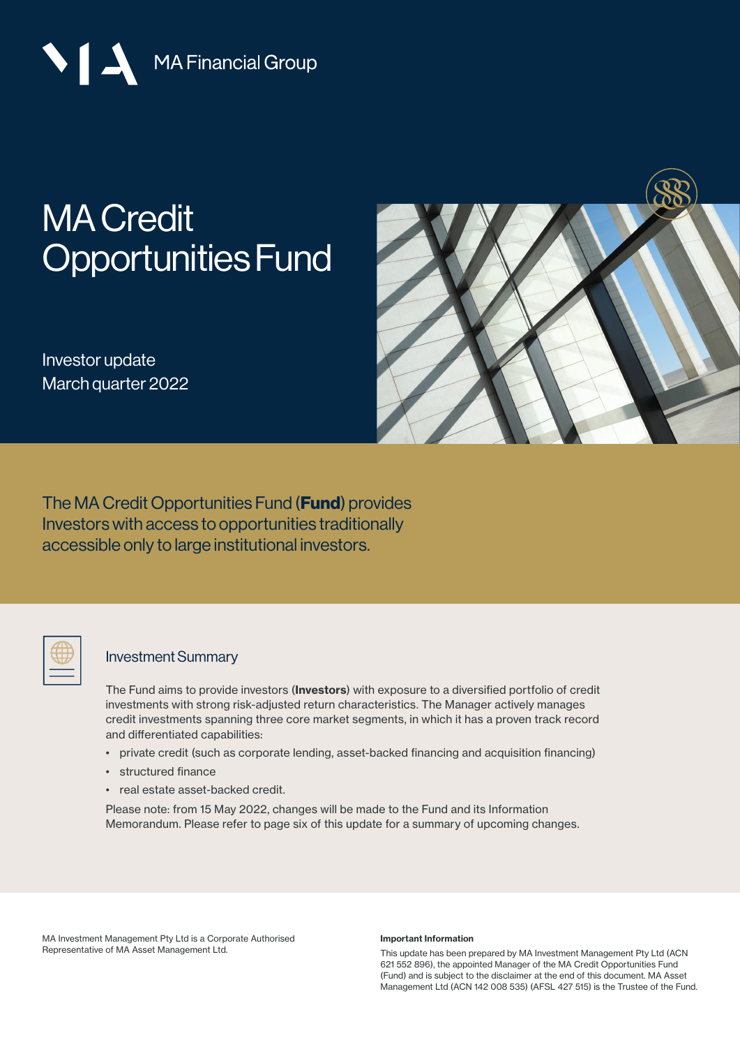MA Financial Group

# [MA Credit](https://mafinancial.com/asset-management/institutional-funds/ma-credit-opportunities-fund/)  [Opportunities Fund](http://https://mafinancial.com/asset-management/institutional-funds/ma-credit-opportunities-fund/)

Investor update March quarter 2022



The MA Credit Opportunities Fund (**Fund**) provides Investors with access to opportunities traditionally accessible only to large institutional investors.

### Investment Summary

The Fund aims to provide investors (Investors) with exposure to a diversified portfolio of credit investments with strong risk-adjusted return characteristics. The Manager actively manages credit investments spanning three core market segments, in which it has a proven track record and differentiated capabilities:

- private credit (such as corporate lending, asset-backed financing and acquisition financing)
- structured finance
- real estate asset-backed credit.

Please note: from 15 May 2022, changes will be made to the Fund and its Information Memorandum. Please refer to page six of this update for a summary of upcoming changes.

MA Investment Management Pty Ltd is a Corporate Authorised Representative of MA Asset Management Ltd.

### Important Information

This update has been prepared by MA Investment Management Pty Ltd (ACN 621 552 896), the appointed Manager of the MA Credit Opportunities Fund (Fund) and is subject to the disclaimer at the end of this document. MA Asset Management Ltd (ACN 142 008 535) (AFSL 427 515) is the Trustee of the Fund.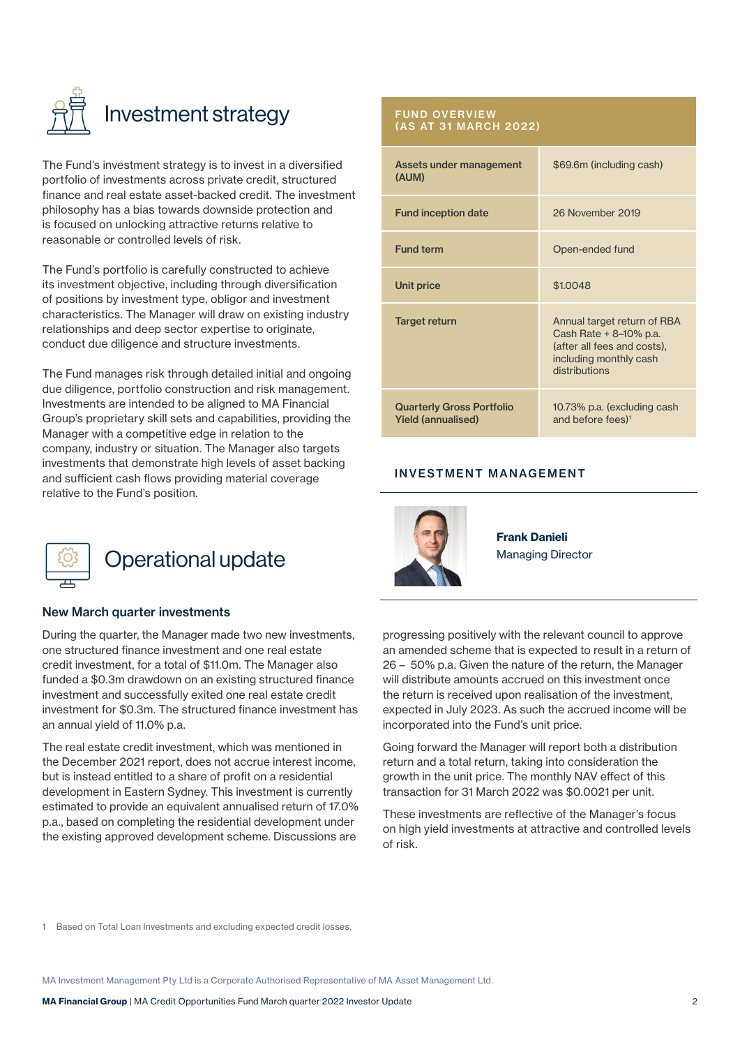

The Fund's investment strategy is to invest in a diversified portfolio of investments across private credit, structured finance and real estate asset-backed credit. The investment philosophy has a bias towards downside protection and is focused on unlocking attractive returns relative to reasonable or controlled levels of risk.

The Fund's portfolio is carefully constructed to achieve its investment objective, including through diversification of positions by investment type, obligor and investment characteristics. The Manager will draw on existing industry relationships and deep sector expertise to originate, conduct due diligence and structure investments.

The Fund manages risk through detailed initial and ongoing due diligence, portfolio construction and risk management. Investments are intended to be aligned to MA Financial Group's proprietary skill sets and capabilities, providing the Manager with a competitive edge in relation to the company, industry or situation. The Manager also targets investments that demonstrate high levels of asset backing and sufficient cash flows providing material coverage relative to the Fund's position.



## Operational update

### New March quarter investments

During the quarter, the Manager made two new investments, one structured finance investment and one real estate credit investment, for a total of \$11.0m. The Manager also funded a \$0.3m drawdown on an existing structured finance investment and successfully exited one real estate credit investment for \$0.3m. The structured finance investment has an annual yield of 11.0% p.a.

The real estate credit investment, which was mentioned in the December 2021 report, does not accrue interest income, but is instead entitled to a share of profit on a residential development in Eastern Sydney. This investment is currently estimated to provide an equivalent annualised return of 17.0% p.a., based on completing the residential development under the existing approved development scheme. Discussions are

### FUND OVERVIEW (AS AT 31 MARCH 2022)

| Assets under management<br>(AUM)                              | \$69.6m (including cash)                                                                                                        |
|---------------------------------------------------------------|---------------------------------------------------------------------------------------------------------------------------------|
| <b>Fund inception date</b>                                    | 26 November 2019                                                                                                                |
| <b>Fund term</b>                                              | Open-ended fund                                                                                                                 |
| Unit price                                                    | \$1,0048                                                                                                                        |
| Target return                                                 | Annual target return of RBA<br>Cash Rate + 8-10% p.a.<br>(after all fees and costs).<br>including monthly cash<br>distributions |
| <b>Quarterly Gross Portfolio</b><br><b>Yield (annualised)</b> | 10.73% p.a. (excluding cash<br>and before fees) <sup>1</sup>                                                                    |

### INVESTMENT MANAGEMENT



Frank Danieli Managing Director

progressing positively with the relevant council to approve an amended scheme that is expected to result in a return of 26 – 50% p.a. Given the nature of the return, the Manager will distribute amounts accrued on this investment once the return is received upon realisation of the investment, expected in July 2023. As such the accrued income will be incorporated into the Fund's unit price.

Going forward the Manager will report both a distribution return and a total return, taking into consideration the growth in the unit price. The monthly NAV effect of this transaction for 31 March 2022 was \$0.0021 per unit.

These investments are reflective of the Manager's focus on high yield investments at attractive and controlled levels of risk.

1 Based on Total Loan Investments and excluding expected credit losses.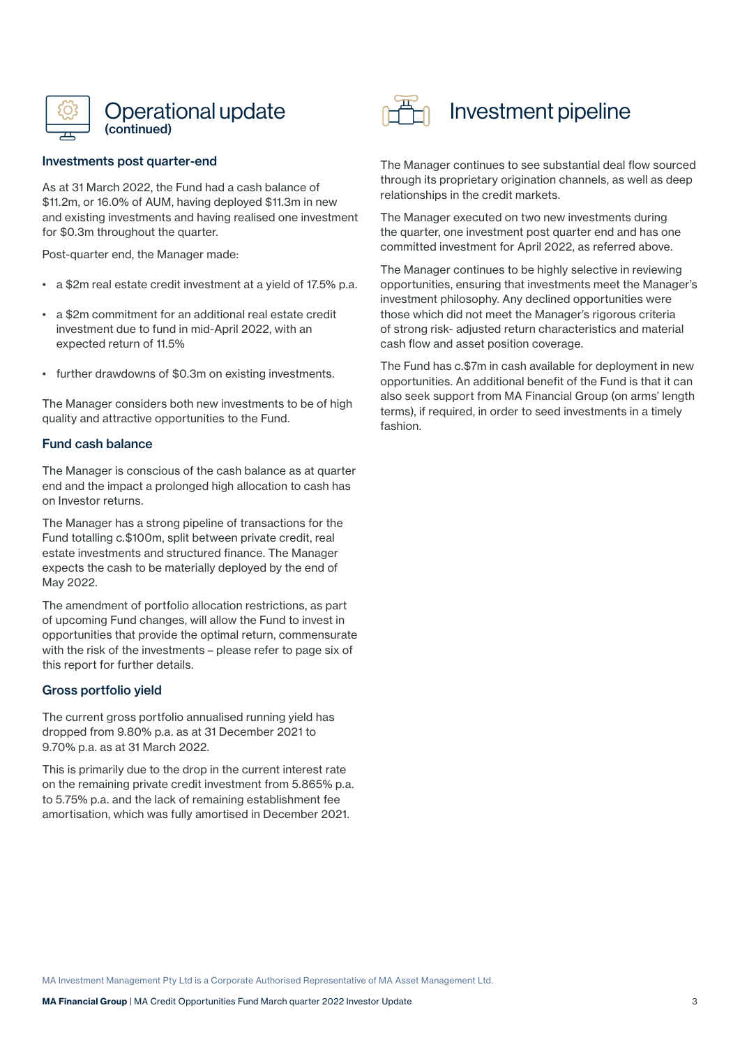

### Investments post quarter-end

As at 31 March 2022, the Fund had a cash balance of \$11.2m, or 16.0% of AUM, having deployed \$11.3m in new and existing investments and having realised one investment for \$0.3m throughout the quarter.

Post-quarter end, the Manager made:

- a \$2m real estate credit investment at a yield of 17.5% p.a.
- a \$2m commitment for an additional real estate credit investment due to fund in mid-April 2022, with an expected return of 11.5%
- further drawdowns of \$0.3m on existing investments.

The Manager considers both new investments to be of high quality and attractive opportunities to the Fund.

### Fund cash balance

The Manager is conscious of the cash balance as at quarter end and the impact a prolonged high allocation to cash has on Investor returns.

The Manager has a strong pipeline of transactions for the Fund totalling c.\$100m, split between private credit, real estate investments and structured finance. The Manager expects the cash to be materially deployed by the end of May 2022.

The amendment of portfolio allocation restrictions, as part of upcoming Fund changes, will allow the Fund to invest in opportunities that provide the optimal return, commensurate with the risk of the investments – please refer to page six of this report for further details.

### Gross portfolio yield

The current gross portfolio annualised running yield has dropped from 9.80% p.a. as at 31 December 2021 to 9.70% p.a. as at 31 March 2022.

This is primarily due to the drop in the current interest rate on the remaining private credit investment from 5.865% p.a. to 5.75% p.a. and the lack of remaining establishment fee amortisation, which was fully amortised in December 2021.



## Investment pipeline

The Manager continues to see substantial deal flow sourced through its proprietary origination channels, as well as deep relationships in the credit markets.

The Manager executed on two new investments during the quarter, one investment post quarter end and has one committed investment for April 2022, as referred above.

The Manager continues to be highly selective in reviewing opportunities, ensuring that investments meet the Manager's investment philosophy. Any declined opportunities were those which did not meet the Manager's rigorous criteria of strong risk- adjusted return characteristics and material cash flow and asset position coverage.

The Fund has c.\$7m in cash available for deployment in new opportunities. An additional benefit of the Fund is that it can also seek support from MA Financial Group (on arms' length terms), if required, in order to seed investments in a timely fashion.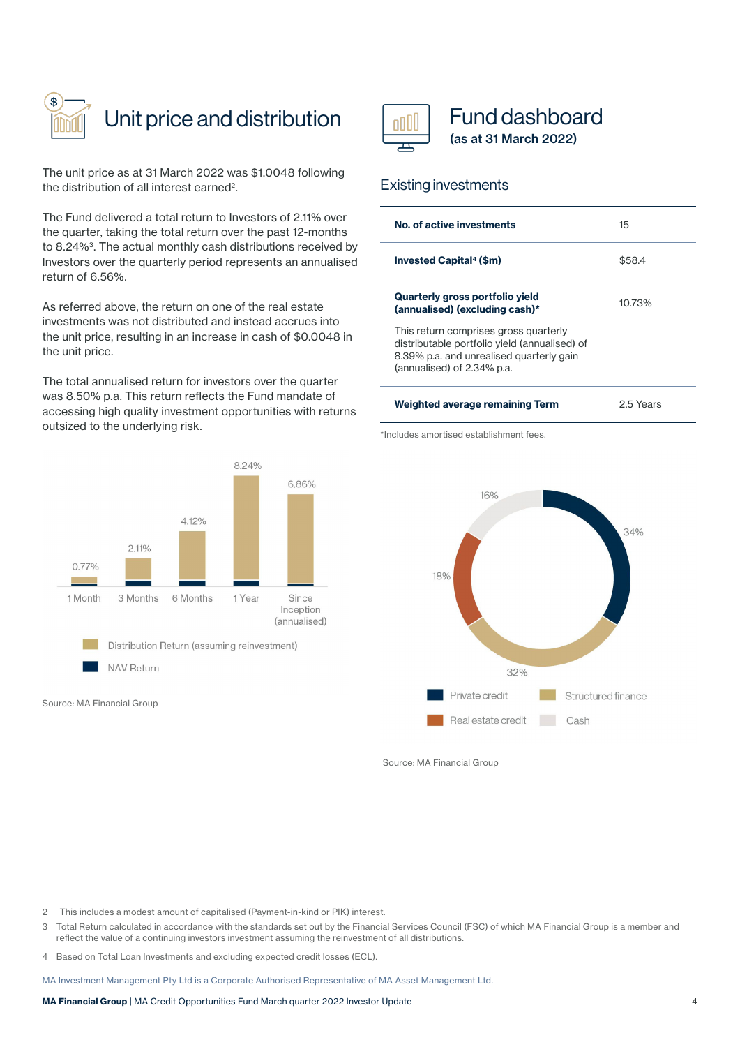

## Unit price and distribution

The unit price as at 31 March 2022 was \$1.0048 following the distribution of all interest earned2.

The Fund delivered a total return to Investors of 2.11% over the quarter, taking the total return over the past 12-months to 8.24%<sup>3</sup>. The actual monthly cash distributions received by Investors over the quarterly period represents an annualised return of 6.56%.

As referred above, the return on one of the real estate investments was not distributed and instead accrues into the unit price, resulting in an increase in cash of \$0.0048 in the unit price.

The total annualised return for investors over the quarter was 8.50% p.a. This return reflects the Fund mandate of accessing high quality investment opportunities with returns outsized to the underlying risk.



Source: MA Financial Group



### Fund dashboard (as at 31 March 2022)

### Existing investments

| No. of active investments                                                                                                                                        | $15\overline{)}$ |
|------------------------------------------------------------------------------------------------------------------------------------------------------------------|------------------|
| <b>Invested Capital<sup>4</sup> (\$m)</b>                                                                                                                        | \$58.4           |
| Quarterly gross portfolio yield<br>(annualised) (excluding cash)*                                                                                                | 10.73%           |
| This return comprises gross quarterly<br>distributable portfolio yield (annualised) of<br>8.39% p.a. and unrealised quarterly gain<br>(annualised) of 2.34% p.a. |                  |
|                                                                                                                                                                  |                  |

| Weighted average remaining Term | 2.5 Years |
|---------------------------------|-----------|
|                                 |           |

\*Includes amortised establishment fees.



Source: MA Financial Group

2 This includes a modest amount of capitalised (Payment-in-kind or PIK) interest.

- 3 Total Return calculated in accordance with the standards set out by the Financial Services Council (FSC) of which MA Financial Group is a member and reflect the value of a continuing investors investment assuming the reinvestment of all distributions.
- 4 Based on Total Loan Investments and excluding expected credit losses (ECL).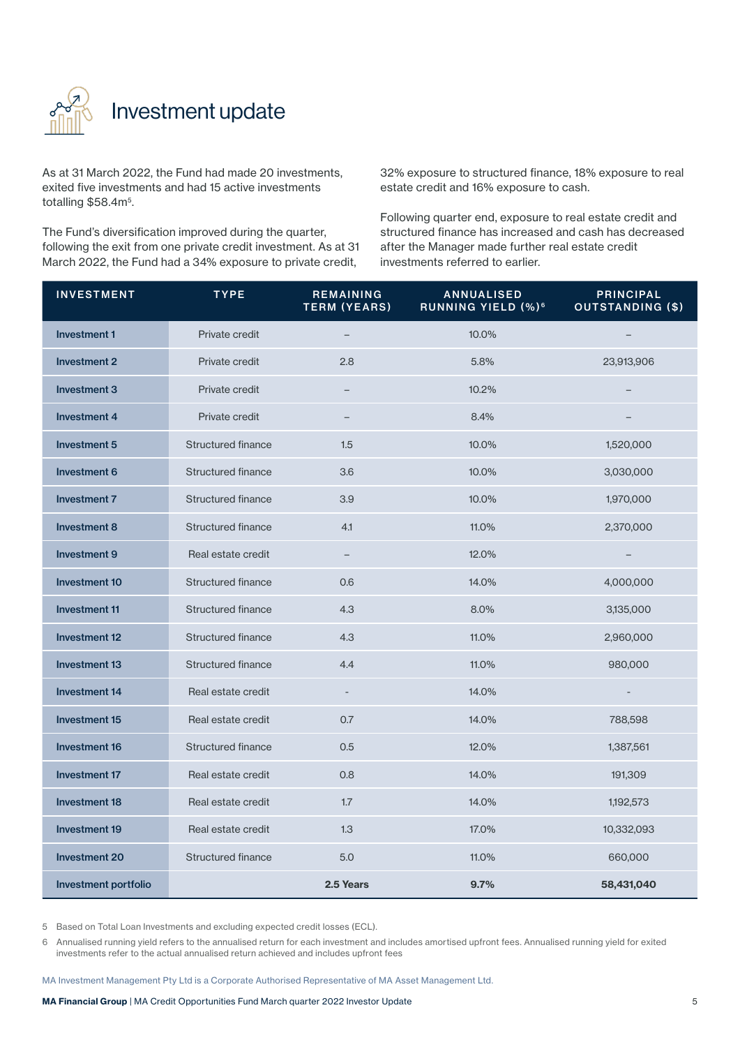

## Investment update

As at 31 March 2022, the Fund had made 20 investments, exited five investments and had 15 active investments totalling \$58.4m<sup>5</sup>.

The Fund's diversification improved during the quarter, following the exit from one private credit investment. As at 31 March 2022, the Fund had a 34% exposure to private credit,

32% exposure to structured finance, 18% exposure to real estate credit and 16% exposure to cash.

Following quarter end, exposure to real estate credit and structured finance has increased and cash has decreased after the Manager made further real estate credit investments referred to earlier.

| <b>INVESTMENT</b>           | <b>TYPE</b>               | <b>REMAINING</b><br><b>TERM (YEARS)</b> | ANNUALISED<br>RUNNING YIELD (%) <sup>6</sup> | <b>PRINCIPAL</b><br><b>OUTSTANDING (\$)</b> |
|-----------------------------|---------------------------|-----------------------------------------|----------------------------------------------|---------------------------------------------|
| <b>Investment 1</b>         | Private credit            |                                         | 10.0%                                        |                                             |
| <b>Investment 2</b>         | Private credit            | 2.8                                     | 5.8%                                         | 23,913,906                                  |
| <b>Investment 3</b>         | Private credit            |                                         | 10.2%                                        |                                             |
| <b>Investment 4</b>         | Private credit            |                                         | 8.4%                                         |                                             |
| Investment 5                | <b>Structured finance</b> | 1.5                                     | 10.0%                                        | 1,520,000                                   |
| Investment 6                | Structured finance        | 3.6                                     | 10.0%                                        | 3,030,000                                   |
| <b>Investment 7</b>         | <b>Structured finance</b> | 3.9                                     | 10.0%                                        | 1,970,000                                   |
| <b>Investment 8</b>         | <b>Structured finance</b> | 4.1                                     | 11.0%                                        | 2,370,000                                   |
| <b>Investment 9</b>         | Real estate credit        | $\qquad \qquad -$                       | 12.0%                                        |                                             |
| <b>Investment 10</b>        | <b>Structured finance</b> | 0.6                                     | 14.0%                                        | 4,000,000                                   |
| <b>Investment 11</b>        | Structured finance        | 4.3                                     | 8.0%                                         | 3,135,000                                   |
| <b>Investment 12</b>        | <b>Structured finance</b> | 4.3                                     | 11.0%                                        | 2,960,000                                   |
| <b>Investment 13</b>        | Structured finance        | 4.4                                     | 11.0%                                        | 980,000                                     |
| <b>Investment 14</b>        | Real estate credit        | $\overline{\phantom{a}}$                | 14.0%                                        | $\overline{\phantom{a}}$                    |
| <b>Investment 15</b>        | Real estate credit        | 0.7                                     | 14.0%                                        | 788,598                                     |
| <b>Investment 16</b>        | <b>Structured finance</b> | 0.5                                     | 12.0%                                        | 1,387,561                                   |
| <b>Investment 17</b>        | Real estate credit        | 0.8                                     | 14.0%                                        | 191,309                                     |
| <b>Investment 18</b>        | Real estate credit        | 1.7                                     | 14.0%                                        | 1,192,573                                   |
| <b>Investment 19</b>        | Real estate credit        | 1.3                                     | 17.0%                                        | 10,332,093                                  |
| <b>Investment 20</b>        | Structured finance        | 5.0                                     | 11.0%                                        | 660,000                                     |
| <b>Investment portfolio</b> |                           | 2.5 Years                               | 9.7%                                         | 58,431,040                                  |

5 Based on Total Loan Investments and excluding expected credit losses (ECL).

6 Annualised running yield refers to the annualised return for each investment and includes amortised upfront fees. Annualised running yield for exited investments refer to the actual annualised return achieved and includes upfront fees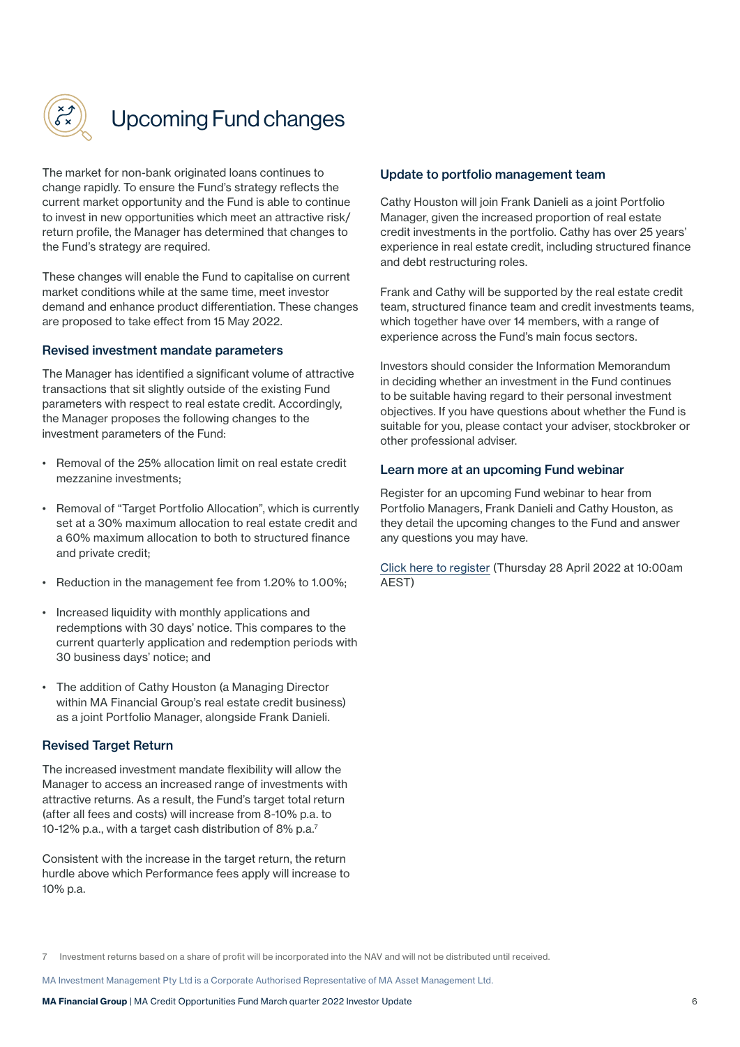

## Upcoming Fund changes

The market for non-bank originated loans continues to change rapidly. To ensure the Fund's strategy reflects the current market opportunity and the Fund is able to continue to invest in new opportunities which meet an attractive risk/ return profile, the Manager has determined that changes to the Fund's strategy are required.

These changes will enable the Fund to capitalise on current market conditions while at the same time, meet investor demand and enhance product differentiation. These changes are proposed to take effect from 15 May 2022.

### Revised investment mandate parameters

The Manager has identified a significant volume of attractive transactions that sit slightly outside of the existing Fund parameters with respect to real estate credit. Accordingly, the Manager proposes the following changes to the investment parameters of the Fund:

- Removal of the 25% allocation limit on real estate credit mezzanine investments;
- Removal of "Target Portfolio Allocation", which is currently set at a 30% maximum allocation to real estate credit and a 60% maximum allocation to both to structured finance and private credit;
- Reduction in the management fee from 1.20% to 1.00%;
- Increased liquidity with monthly applications and redemptions with 30 days' notice. This compares to the current quarterly application and redemption periods with 30 business days' notice; and
- The addition of Cathy Houston (a Managing Director within MA Financial Group's real estate credit business) as a joint Portfolio Manager, alongside Frank Danieli.

### Revised Target Return

The increased investment mandate flexibility will allow the Manager to access an increased range of investments with attractive returns. As a result, the Fund's target total return (after all fees and costs) will increase from 8-10% p.a. to 10-12% p.a., with a target cash distribution of 8% p.a.7

Consistent with the increase in the target return, the return hurdle above which Performance fees apply will increase to 10% p.a.

### Update to portfolio management team

Cathy Houston will join Frank Danieli as a joint Portfolio Manager, given the increased proportion of real estate credit investments in the portfolio. Cathy has over 25 years' experience in real estate credit, including structured finance and debt restructuring roles.

Frank and Cathy will be supported by the real estate credit team, structured finance team and credit investments teams, which together have over 14 members, with a range of experience across the Fund's main focus sectors.

Investors should consider the Information Memorandum in deciding whether an investment in the Fund continues to be suitable having regard to their personal investment objectives. If you have questions about whether the Fund is suitable for you, please contact your adviser, stockbroker or other professional adviser.

### Learn more at an upcoming Fund webinar

Register for an upcoming Fund webinar to hear from Portfolio Managers, Frank Danieli and Cathy Houston, as they detail the upcoming changes to the Fund and answer any questions you may have.

[Click here to register](https://mafinancial.zoom.us/webinar/register/WN_khEdTcFYSUSWHtY7EdGugQ) (Thursday 28 April 2022 at 10:00am AEST)

<sup>7</sup> Investment returns based on a share of profit will be incorporated into the NAV and will not be distributed until received.